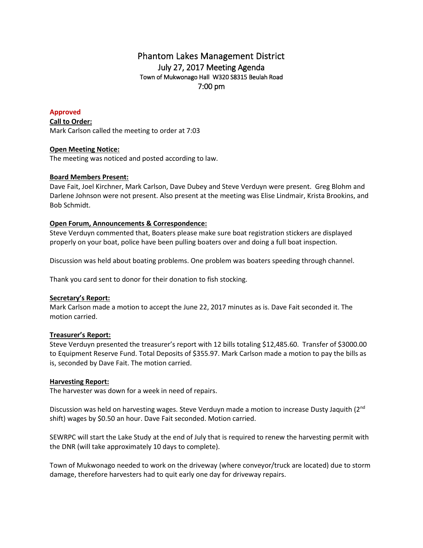# Phantom Lakes Management District July 27, 2017 Meeting Agenda Town of Mukwonago Hall W320 S8315 Beulah Road 7:00 pm

# **Approved**

**Call to Order:** Mark Carlson called the meeting to order at 7:03

## **Open Meeting Notice:**

The meeting was noticed and posted according to law.

# **Board Members Present:**

Dave Fait, Joel Kirchner, Mark Carlson, Dave Dubey and Steve Verduyn were present. Greg Blohm and Darlene Johnson were not present. Also present at the meeting was Elise Lindmair, Krista Brookins, and Bob Schmidt.

# **Open Forum, Announcements & Correspondence:**

Steve Verduyn commented that, Boaters please make sure boat registration stickers are displayed properly on your boat, police have been pulling boaters over and doing a full boat inspection.

Discussion was held about boating problems. One problem was boaters speeding through channel.

Thank you card sent to donor for their donation to fish stocking.

# **Secretary's Report:**

Mark Carlson made a motion to accept the June 22, 2017 minutes as is. Dave Fait seconded it. The motion carried.

# **Treasurer's Report:**

Steve Verduyn presented the treasurer's report with 12 bills totaling \$12,485.60. Transfer of \$3000.00 to Equipment Reserve Fund. Total Deposits of \$355.97. Mark Carlson made a motion to pay the bills as is, seconded by Dave Fait. The motion carried.

# **Harvesting Report:**

The harvester was down for a week in need of repairs.

Discussion was held on harvesting wages. Steve Verduyn made a motion to increase Dusty Jaquith (2<sup>nd</sup> shift) wages by \$0.50 an hour. Dave Fait seconded. Motion carried.

SEWRPC will start the Lake Study at the end of July that is required to renew the harvesting permit with the DNR (will take approximately 10 days to complete).

Town of Mukwonago needed to work on the driveway (where conveyor/truck are located) due to storm damage, therefore harvesters had to quit early one day for driveway repairs.